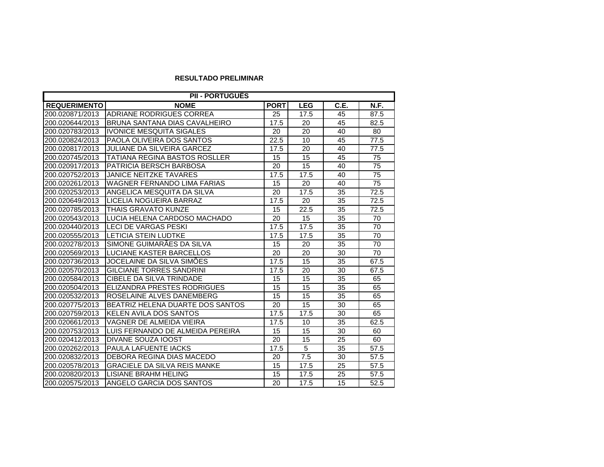## **RESULTADO PRELIMINAR**

| <b>PII - PORTUGUËS</b> |                                      |             |            |      |                 |  |
|------------------------|--------------------------------------|-------------|------------|------|-----------------|--|
| <b>REQUERIMENTO</b>    | <b>NOME</b>                          | <b>PORT</b> | <b>LEG</b> | C.E. | N.F.            |  |
| 200.020871/2013        | <b>ADRIANE RODRIGUES CORREA</b>      | 25          | 17.5       | 45   | 87.5            |  |
| 200.020644/2013        | BRUNA SANTANA DIAS CAVALHEIRO        | 17.5        | 20         | 45   | 82.5            |  |
| 200.020783/2013        | <b>IVONICE MESQUITA SIGALES</b>      | 20          | 20         | 40   | 80              |  |
| 200.020824/2013        | PAOLA OLIVEIRA DOS SANTOS            | 22.5        | 10         | 45   | 77.5            |  |
| 200.020817/2013        | <b>JULIANE DA SILVEIRA GARCEZ</b>    | 17.5        | 20         | 40   | 77.5            |  |
| 200.020745/2013        | <b>TATIANA REGINA BASTOS ROSLLER</b> | 15          | 15         | 45   | 75              |  |
| 200.020917/2013        | PATRICIA BERSCH BARBOSA              | 20          | 15         | 40   | 75              |  |
| 200.020752/2013        | <b>JANICE NEITZKE TAVARES</b>        | 17.5        | 17.5       | 40   | 75              |  |
| 200.020261/2013        | <b>WAGNER FERNANDO LIMA FARIAS</b>   | 15          | 20         | 40   | $\overline{75}$ |  |
| 200.020253/2013        | ANGELICA MESQUITA DA SILVA           | 20          | 17.5       | 35   | 72.5            |  |
| 200.020649/2013        | LICELIA NOGUEIRA BARRAZ              | 17.5        | 20         | 35   | 72.5            |  |
| 200.020785/2013        | <b>THAIS GRAVATO KUNZE</b>           | 15          | 22.5       | 35   | 72.5            |  |
| 200.020543/2013        | LUCIA HELENA CARDOSO MACHADO         | 20          | 15         | 35   | 70              |  |
| 200.020440/2013        | <b>LECI DE VARGAS PESKI</b>          | 17.5        | 17.5       | 35   | 70              |  |
| 200.020555/2013        | <b>LETICIA STEIN LUDTKE</b>          | 17.5        | 17.5       | 35   | 70              |  |
| 200.020278/2013        | SIMONE GUIMARÃES DA SILVA            | 15          | 20         | 35   | 70              |  |
| 200.020569/2013        | LUCIANE KASTER BARCELLOS             | 20          | 20         | 30   | 70              |  |
| 200.020736/2013        | JOCELAINE DA SILVA SIMÕES            | 17.5        | 15         | 35   | 67.5            |  |
| 200.020570/2013        | <b>GILCIANE TORRES SANDRINI</b>      | 17.5        | 20         | 30   | 67.5            |  |
| 200.020584/2013        | <b>CIBELE DA SILVA TRINDADE</b>      | 15          | 15         | 35   | 65              |  |
| 200.020504/2013        | ELIZANDRA PRESTES RODRIGUES          | 15          | 15         | 35   | 65              |  |
| 200.020532/2013        | ROSELAINE ALVES DANEMBERG            | 15          | 15         | 35   | 65              |  |
| 200.020775/2013        | BEATRIZ HELENA DUARTE DOS SANTOS     | 20          | 15         | 30   | 65              |  |
| 200.020759/2013        | KELEN AVILA DOS SANTOS               | 17.5        | 17.5       | 30   | 65              |  |
| 200.020661/2013        | VAGNER DE ALMEIDA VIEIRA             | 17.5        | 10         | 35   | 62.5            |  |
| 200.020753/2013        | LUIS FERNANDO DE ALMEIDA PEREIRA     | 15          | 15         | 30   | 60              |  |
| 200.020412/2013        | <b>DIVANE SOUZA IOOST</b>            | 20          | 15         | 25   | 60              |  |
| 200.020262/2013        | <b>PAULA LAFUENTE IACKS</b>          | 17.5        | 5          | 35   | 57.5            |  |
| 200.020832/2013        | DEBORA REGINA DIAS MACEDO            | 20          | 7.5        | 30   | 57.5            |  |
| 200.020578/2013        | <b>GRACIELE DA SILVA REIS MANKE</b>  | 15          | 17.5       | 25   | 57.5            |  |
| 200.020820/2013        | LISIANE BRAHM HELING                 | 15          | 17.5       | 25   | 57.5            |  |
| 200.020575/2013        | ANGELO GARCIA DOS SANTOS             | 20          | 17.5       | 15   | 52.5            |  |